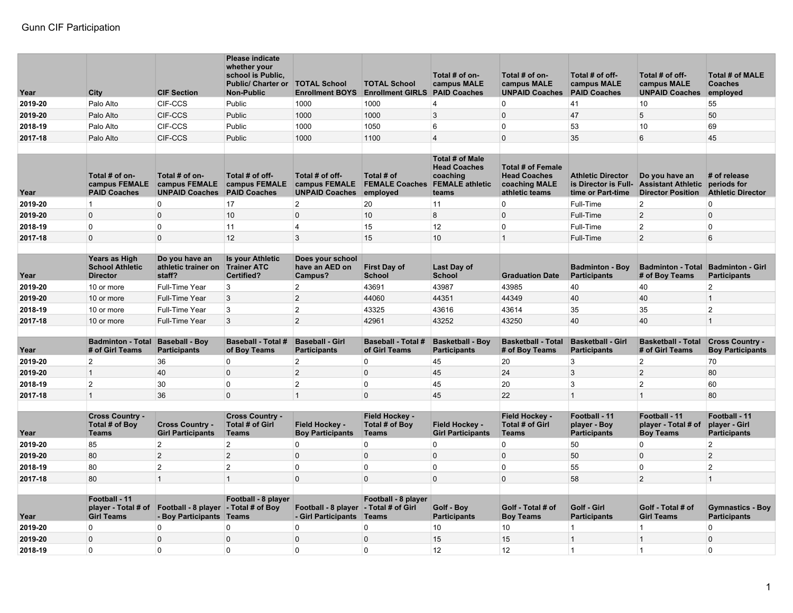| Year    | City                                                       | <b>CIF Section</b>                                                 | <b>Please indicate</b><br>whether your<br>school is Public.<br><b>Public/ Charter or</b><br><b>Non-Public</b> | <b>TOTAL School</b><br><b>Enrollment BOYS</b>                | <b>TOTAL School</b><br><b>Enrollment GIRLS</b>  | Total # of on-<br>campus MALE<br><b>PAID Coaches</b>                                  | Total # of on-<br>campus MALE<br><b>UNPAID Coaches</b>                             | Total # of off-<br>campus MALE<br><b>PAID Coaches</b>                 | Total # of off-<br>campus MALE<br><b>UNPAID Coaches</b>                 | <b>Total # of MALE</b><br>Coaches<br>employed           |
|---------|------------------------------------------------------------|--------------------------------------------------------------------|---------------------------------------------------------------------------------------------------------------|--------------------------------------------------------------|-------------------------------------------------|---------------------------------------------------------------------------------------|------------------------------------------------------------------------------------|-----------------------------------------------------------------------|-------------------------------------------------------------------------|---------------------------------------------------------|
| 2019-20 | Palo Alto                                                  | CIF-CCS                                                            | Public                                                                                                        | 1000                                                         | 1000                                            | $\overline{4}$                                                                        | 0                                                                                  | 41                                                                    | 10                                                                      | 55                                                      |
| 2019-20 | Palo Alto                                                  | <b>CIF-CCS</b>                                                     | Public                                                                                                        | 1000                                                         | 1000                                            | 3                                                                                     | 0                                                                                  | 47                                                                    | 5                                                                       | 50                                                      |
| 2018-19 | Palo Alto                                                  | CIF-CCS                                                            | Public                                                                                                        | 1000                                                         | 1050                                            | 6                                                                                     | $\Omega$                                                                           | 53                                                                    | 10                                                                      | 69                                                      |
| 2017-18 | Palo Alto                                                  | CIF-CCS                                                            | Public                                                                                                        | 1000                                                         | 1100                                            | $\boldsymbol{\Delta}$                                                                 | $\Omega$                                                                           | 35                                                                    | 6                                                                       | 45                                                      |
|         |                                                            |                                                                    |                                                                                                               |                                                              |                                                 |                                                                                       |                                                                                    |                                                                       |                                                                         |                                                         |
| Year    | Total # of on-<br>campus FEMALE<br><b>PAID Coaches</b>     | Total # of on-<br>campus FEMALE<br><b>UNPAID Coaches</b>           | Total # of off-<br>campus FEMALE<br><b>PAID Coaches</b>                                                       | Total # of off-<br>campus FEMALE<br><b>UNPAID Coaches</b>    | Total # of<br><b>FEMALE Coaches</b><br>employed | Total # of Male<br><b>Head Coaches</b><br>coaching<br><b>FEMALE</b> athletic<br>teams | <b>Total # of Female</b><br><b>Head Coaches</b><br>coaching MALE<br>athletic teams | <b>Athletic Director</b><br>is Director is Full-<br>time or Part-time | Do you have an<br><b>Assistant Athletic</b><br><b>Director Position</b> | # of release<br>periods for<br><b>Athletic Director</b> |
| 2019-20 | $\mathbf{1}$                                               | $\Omega$                                                           | 17                                                                                                            | 2                                                            | 20                                              | 11                                                                                    | $\Omega$                                                                           | Full-Time                                                             | $\overline{2}$                                                          | $\Omega$                                                |
| 2019-20 | $\Omega$                                                   | $\Omega$                                                           | 10                                                                                                            | $\mathbf 0$                                                  | 10                                              | 8                                                                                     | $\Omega$                                                                           | Full-Time                                                             | $\overline{2}$                                                          | $\overline{0}$                                          |
| 2018-19 | $\Omega$                                                   | $\Omega$                                                           | 11                                                                                                            | 4                                                            | 15                                              | 12                                                                                    | $\Omega$                                                                           | Full-Time                                                             | $\overline{2}$                                                          | $\Omega$                                                |
| 2017-18 | $\Omega$                                                   | $\Omega$                                                           | 12                                                                                                            | 3                                                            | 15                                              | 10                                                                                    | $\mathbf{1}$                                                                       | Full-Time                                                             | $\overline{2}$                                                          | 6                                                       |
|         |                                                            |                                                                    |                                                                                                               |                                                              |                                                 |                                                                                       |                                                                                    |                                                                       |                                                                         |                                                         |
| Year    | Years as High<br><b>School Athletic</b><br><b>Director</b> | Do you have an<br>athletic trainer on<br>staff?                    | <b>Is your Athletic</b><br><b>Trainer ATC</b><br><b>Certified?</b>                                            | Does your school<br>have an AED on<br>Campus?                | <b>First Day of</b><br><b>School</b>            | Last Day of<br><b>School</b>                                                          | <b>Graduation Date</b>                                                             | <b>Badminton - Boy</b><br><b>Participants</b>                         | <b>Badminton - Total</b><br># of Boy Teams                              | <b>Badminton - Girl</b><br><b>Participants</b>          |
| 2019-20 | 10 or more                                                 | Full-Time Year                                                     | 3                                                                                                             | $\overline{2}$                                               | 43691                                           | 43987                                                                                 | 43985                                                                              | 40                                                                    | 40                                                                      | $\overline{2}$                                          |
| 2019-20 | 10 or more                                                 | Full-Time Year                                                     | 3                                                                                                             | 2                                                            | 44060                                           | 44351                                                                                 | 44349                                                                              | 40                                                                    | 40                                                                      | $\overline{1}$                                          |
| 2018-19 | 10 or more                                                 | Full-Time Year                                                     | 3                                                                                                             | $\overline{2}$                                               | 43325                                           | 43616                                                                                 | 43614                                                                              | 35                                                                    | 35                                                                      | 2                                                       |
| 2017-18 | 10 or more                                                 | Full-Time Year                                                     | $\overline{3}$                                                                                                | $\overline{2}$                                               | 42961                                           | 43252                                                                                 | 43250                                                                              | 40                                                                    | 40                                                                      | $\overline{1}$                                          |
|         |                                                            |                                                                    |                                                                                                               |                                                              |                                                 |                                                                                       |                                                                                    |                                                                       |                                                                         |                                                         |
| Year    | <b>Badminton - Total</b><br># of Girl Teams                | <b>Baseball - Boy</b><br><b>Participants</b>                       | <b>Baseball - Total #</b><br>of Boy Teams                                                                     | <b>Baseball - Girl</b><br><b>Participants</b>                | <b>Baseball - Total #</b><br>of Girl Teams      | <b>Basketball - Boy</b><br><b>Participants</b>                                        | <b>Basketball - Total</b><br># of Boy Teams                                        | <b>Basketball - Girl</b><br><b>Participants</b>                       | <b>Basketball - Total</b><br># of Girl Teams                            | <b>Cross Country -</b><br><b>Boy Participants</b>       |
| 2019-20 | $\overline{c}$                                             | 36                                                                 | $\overline{0}$                                                                                                | $\overline{c}$                                               | $\Omega$                                        | 45                                                                                    | 20                                                                                 | 3                                                                     | $\overline{2}$                                                          | 70                                                      |
| 2019-20 | $\mathbf{1}$                                               | 40                                                                 | $\overline{0}$                                                                                                | $\overline{2}$                                               | $\mathbf 0$                                     | 45                                                                                    | 24                                                                                 | 3                                                                     | $\overline{2}$                                                          | 80                                                      |
| 2018-19 | $\overline{2}$                                             | 30                                                                 | $\overline{0}$                                                                                                | $\overline{2}$                                               | 0                                               | 45                                                                                    | 20                                                                                 | 3                                                                     | $\overline{2}$                                                          | 60                                                      |
| 2017-18 | $\mathbf{1}$                                               | 36                                                                 | $\overline{0}$                                                                                                | $\mathbf{1}$                                                 | $\mathbf 0$                                     | 45                                                                                    | 22                                                                                 | $\mathbf{1}$                                                          | $\mathbf{1}$                                                            | 80                                                      |
|         | <b>Cross Country -</b><br>Total # of Boy                   | <b>Cross Country -</b>                                             | <b>Cross Country -</b><br>Total # of Girl                                                                     | Field Hockey -                                               | Field Hockey -<br>Total # of Boy                | Field Hockey -                                                                        | Field Hockey -<br>Total # of Girl                                                  | Football - 11<br>plaver - Bov                                         | Football - 11<br>player - Total # of                                    | Football - 11<br>player - Girl                          |
| Year    | <b>Teams</b>                                               | <b>Girl Participants</b>                                           | <b>Teams</b>                                                                                                  | <b>Boy Participants</b>                                      | <b>Teams</b>                                    | <b>Girl Participants</b>                                                              | <b>Teams</b>                                                                       | <b>Participants</b>                                                   | <b>Boy Teams</b>                                                        | <b>Participants</b>                                     |
| 2019-20 | 85                                                         | 2                                                                  | $\overline{2}$                                                                                                | 0                                                            | $\mathbf 0$                                     | $\mathbf 0$                                                                           | 0                                                                                  | 50                                                                    | $\Omega$                                                                | $\overline{2}$                                          |
| 2019-20 | 80                                                         | $\overline{2}$                                                     | $\overline{2}$                                                                                                | $\mathbf 0$                                                  | $\mathbf 0$                                     | $\mathbf{0}$                                                                          | $\Omega$                                                                           | 50                                                                    | $\Omega$                                                                | $\overline{2}$                                          |
| 2018-19 | 80                                                         | $\overline{2}$                                                     | $\overline{2}$                                                                                                | $\Omega$                                                     | $\Omega$                                        | $\Omega$                                                                              | $\Omega$                                                                           | 55                                                                    | $\Omega$                                                                | $\overline{2}$                                          |
| 2017-18 | 80                                                         | $\mathbf{1}$                                                       | $\mathbf{1}$                                                                                                  | $\mathbf 0$                                                  | $\Omega$                                        | $\mathbf{0}$                                                                          | $\Omega$                                                                           | 58                                                                    | $\mathfrak{p}$                                                          | $\mathbf{1}$                                            |
| Year    | Football - 11<br>player - Total # of<br><b>Girl Teams</b>  | Football - 8 player $\vert$ - Total # of Boy<br>- Boy Participants | Football - 8 player<br>Teams                                                                                  | Football - 8 player - Total # of Girl<br>- Girl Participants | Football - 8 player<br>Teams                    | <b>Golf - Boy</b><br><b>Participants</b>                                              | Golf - Total # of<br><b>Boy Teams</b>                                              | Golf - Girl<br><b>Participants</b>                                    | Golf - Total # of<br><b>Girl Teams</b>                                  | <b>Gymnastics - Boy</b><br><b>Participants</b>          |
| 2019-20 | $\Omega$                                                   | $\mathbf{0}$                                                       | $\overline{0}$                                                                                                | $\Omega$                                                     | 0                                               | 10                                                                                    | 10                                                                                 | $\mathbf{1}$                                                          | $\mathbf{1}$                                                            | $\overline{0}$                                          |
| 2019-20 | $\Omega$                                                   | $\Omega$                                                           | $\overline{0}$                                                                                                | $\Omega$                                                     | $\Omega$                                        | 15                                                                                    | 15                                                                                 | $\mathbf{1}$                                                          | $\mathbf{1}$                                                            | $\Omega$                                                |
| 2018-19 | $\Omega$                                                   | $\mathbf{0}$                                                       | $\Omega$                                                                                                      | $\Omega$                                                     | $\Omega$                                        | 12                                                                                    | 12 <sup>2</sup>                                                                    | $\overline{1}$                                                        | $\mathbf{1}$                                                            | $\Omega$                                                |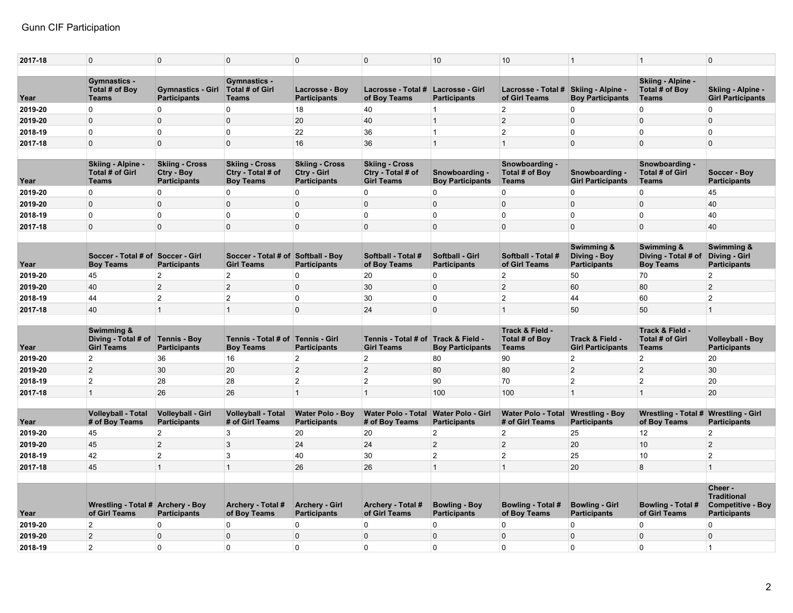| 2017-18 | $\overline{0}$                                              | $\mathbf 0$                                                | $\mathbf 0$                                                    | $\mathbf{0}$                                                | $\mathbf 0$                                                     | 10                                              | 10                                           | $\overline{1}$                                    | $\mathbf{1}$                                          | $\overline{0}$                                                        |
|---------|-------------------------------------------------------------|------------------------------------------------------------|----------------------------------------------------------------|-------------------------------------------------------------|-----------------------------------------------------------------|-------------------------------------------------|----------------------------------------------|---------------------------------------------------|-------------------------------------------------------|-----------------------------------------------------------------------|
|         |                                                             |                                                            |                                                                |                                                             |                                                                 |                                                 |                                              |                                                   |                                                       |                                                                       |
|         | <b>Gymnastics -</b><br>Total # of Boy                       | <b>Gymnastics - Girl</b>                                   | <b>Gymnastics -</b><br><b>Total # of Girl</b>                  | Lacrosse - Boy                                              | Lacrosse - Total # Lacrosse - Girl                              |                                                 | Lacrosse - Total #   Skiing - Alpine -       |                                                   | Skiing - Alpine -<br>Total # of Boy                   | Skiing - Alpine -                                                     |
| Year    | <b>Teams</b>                                                | <b>Participants</b>                                        | <b>Teams</b>                                                   | <b>Participants</b>                                         | of Boy Teams                                                    | <b>Participants</b>                             | of Girl Teams                                | <b>Boy Participants</b>                           | <b>Teams</b>                                          | <b>Girl Participants</b>                                              |
| 2019-20 | $\overline{0}$                                              | 0                                                          | 0                                                              | 18                                                          | 40                                                              | $\vert$ 1                                       | $\overline{2}$                               | $\mathbf 0$                                       | $\overline{0}$                                        | $\overline{0}$                                                        |
| 2019-20 | $\overline{0}$                                              | $\mathbf 0$                                                | $\mathbf 0$                                                    | 20                                                          | 40                                                              | $\overline{1}$                                  | $\overline{2}$                               | $\mathbf 0$                                       | $\Omega$                                              | $\overline{0}$                                                        |
| 2018-19 | $\overline{0}$                                              | 0                                                          | $\Omega$                                                       | 22                                                          | 36                                                              | $\overline{1}$                                  | $\overline{2}$                               | $\Omega$                                          | $\overline{0}$                                        | $\overline{0}$                                                        |
| 2017-18 | $\overline{0}$                                              | 0                                                          | $\mathbf 0$                                                    | 16                                                          | 36                                                              | $\overline{1}$                                  | $\mathbf{1}$                                 | $\mathbf 0$                                       | $\Omega$                                              | $\overline{0}$                                                        |
|         |                                                             |                                                            |                                                                |                                                             |                                                                 |                                                 |                                              |                                                   |                                                       |                                                                       |
| Year    | <b>Skiing - Alpine -</b><br>Total # of Girl<br><b>Teams</b> | <b>Skiing - Cross</b><br>Ctry - Boy<br><b>Participants</b> | <b>Skiing - Cross</b><br>Ctry - Total # of<br><b>Boy Teams</b> | <b>Skiing - Cross</b><br>Ctry - Girl<br><b>Participants</b> | <b>Skiing - Cross</b><br>Ctry - Total # of<br><b>Girl Teams</b> | Snowboarding -<br><b>Boy Participants</b>       | Snowboarding -<br>Total # of Boy<br>Teams    | Snowboarding -<br><b>Girl Participants</b>        | Snowboarding -<br>Total # of Girl<br><b>Teams</b>     | Soccer - Boy<br><b>Participants</b>                                   |
| 2019-20 | $\overline{0}$                                              | 0                                                          | $\Omega$                                                       | $\Omega$                                                    | $\Omega$                                                        | $\mathbf{0}$                                    | 0                                            | $\mathbf{0}$                                      | 0                                                     | 45                                                                    |
| 2019-20 | $\overline{0}$                                              | $\Omega$                                                   | $\Omega$                                                       | $\Omega$                                                    | $\Omega$                                                        | $\mathbf{0}$                                    | $\Omega$                                     | $\Omega$                                          | $\Omega$                                              | 40                                                                    |
|         | $\overline{0}$                                              | 0                                                          | $\mathbf{0}$                                                   | $\mathbf 0$                                                 | $\mathbf 0$                                                     |                                                 | 0                                            | $\overline{0}$                                    | $\mathbf{0}$                                          |                                                                       |
| 2018-19 |                                                             |                                                            |                                                                | $\Omega$                                                    | $\Omega$                                                        | $\overline{0}$                                  |                                              |                                                   | $\Omega$                                              | 40                                                                    |
| 2017-18 | $\overline{0}$                                              | $\mathsf{O}$                                               | $\Omega$                                                       |                                                             |                                                                 | $\overline{0}$                                  | 0                                            | $\Omega$                                          |                                                       | 40                                                                    |
| Year    | Soccer - Total # of Soccer - Girl<br><b>Boy Teams</b>       | <b>Participants</b>                                        | Soccer - Total # of Softball - Boy<br><b>Girl Teams</b>        | <b>Participants</b>                                         | Softball - Total #<br>of Boy Teams                              | <b>Softball - Girl</b><br><b>Participants</b>   | Softball - Total #<br>of Girl Teams          | Swimming &<br>Diving - Boy<br><b>Participants</b> | Swimming &<br>Diving - Total # of<br><b>Boy Teams</b> | Swimming &<br>Diving - Girl<br><b>Participants</b>                    |
| 2019-20 | 45                                                          | $\overline{2}$                                             | $\overline{2}$                                                 | 0                                                           | 20                                                              | $\mathbf 0$                                     | $\overline{2}$                               | 50                                                | 70                                                    | $\overline{2}$                                                        |
| 2019-20 | 40                                                          | $\overline{2}$                                             | $\overline{2}$                                                 | $\mathbf 0$                                                 | 30                                                              | $\overline{0}$                                  | $\overline{a}$                               | 60                                                | 80                                                    | $\overline{2}$                                                        |
| 2018-19 | 44                                                          | $\overline{2}$                                             | $\overline{2}$                                                 | $\mathbf 0$                                                 | 30                                                              | $\mathbf 0$                                     | $\overline{2}$                               | 44                                                | 60                                                    | $\overline{2}$                                                        |
| 2017-18 | 40                                                          | $\mathbf{1}$                                               | $\mathbf{1}$                                                   | $\mathbf 0$                                                 | 24                                                              | $\overline{0}$                                  | $\mathbf{1}$                                 | 50                                                | 50                                                    | $\mathbf{1}$                                                          |
|         |                                                             |                                                            |                                                                |                                                             |                                                                 |                                                 |                                              |                                                   |                                                       |                                                                       |
|         | Swimming &                                                  |                                                            |                                                                |                                                             |                                                                 |                                                 | Track & Field -                              |                                                   | Track & Field -                                       |                                                                       |
| Year    | Diving - Total # of<br><b>Girl Teams</b>                    | <b>Tennis - Boy</b><br><b>Participants</b>                 | Tennis - Total # of Tennis - Girl<br><b>Boy Teams</b>          | <b>Participants</b>                                         | Tennis - Total # of Track & Field -<br><b>Girl Teams</b>        | <b>Boy Participants</b>                         | Total # of Boy<br>Teams                      | Track & Field -<br><b>Girl Participants</b>       | <b>Total # of Girl</b><br>Teams                       | <b>Volleyball - Boy</b><br><b>Participants</b>                        |
| 2019-20 | $\overline{2}$                                              | 36                                                         | 16                                                             | $\overline{2}$                                              | $\overline{2}$                                                  | 80                                              | 90                                           | $\overline{2}$                                    | $\overline{2}$                                        | 20                                                                    |
| 2019-20 | $\overline{2}$                                              | 30                                                         | 20                                                             | $\overline{2}$                                              | $\overline{2}$                                                  | 80                                              | 80                                           | $\overline{2}$                                    | $\overline{2}$                                        | 30                                                                    |
| 2018-19 | $\overline{2}$                                              | 28                                                         | 28                                                             | $\overline{2}$                                              | $\overline{2}$                                                  | 90                                              | 70                                           | $\overline{2}$                                    | $\overline{2}$                                        | 20                                                                    |
| 2017-18 | $\overline{1}$                                              | 26                                                         | 26                                                             | $\mathbf{1}$                                                | $\mathbf{1}$                                                    | 100                                             | 100                                          | $\overline{1}$                                    | $\mathbf{1}$                                          | 20                                                                    |
|         |                                                             |                                                            |                                                                |                                                             |                                                                 |                                                 |                                              |                                                   |                                                       |                                                                       |
| Year    | <b>Volleyball - Total</b><br># of Boy Teams                 | <b>Volleyball - Girl</b><br><b>Participants</b>            | <b>Volleyball - Total</b><br># of Girl Teams                   | <b>Water Polo - Boy</b><br><b>Participants</b>              | <b>Water Polo - Total</b><br># of Boy Teams                     | <b>Water Polo - Girl</b><br><b>Participants</b> | <b>Water Polo - Total</b><br># of Girl Teams | <b>Wrestling - Boy</b><br><b>Participants</b>     | Wrestling - Total # Wrestling - Girl<br>of Boy Teams  | <b>Participants</b>                                                   |
| 2019-20 | 45                                                          | $\overline{2}$                                             | 3                                                              | 20                                                          | 20                                                              | $\overline{2}$                                  | $\overline{2}$                               | 25                                                | 12                                                    | $\overline{2}$                                                        |
| 2019-20 | 45                                                          | $\overline{2}$                                             | 3                                                              | 24                                                          | 24                                                              | $\overline{2}$                                  | $\overline{2}$                               | 20                                                | 10                                                    | $\overline{2}$                                                        |
| 2018-19 | 42                                                          | $\overline{2}$                                             | 3                                                              | 40                                                          | 30                                                              | 2                                               | $\overline{2}$                               | 25                                                | 10                                                    | $\overline{2}$                                                        |
|         | 45                                                          | $\overline{1}$                                             | $\overline{1}$                                                 | 26                                                          | 26                                                              | $\overline{1}$                                  | $\mathbf{1}$                                 | 20                                                | 8                                                     | $\overline{1}$                                                        |
| 2017-18 |                                                             |                                                            |                                                                |                                                             |                                                                 |                                                 |                                              |                                                   |                                                       |                                                                       |
|         |                                                             |                                                            |                                                                |                                                             |                                                                 |                                                 |                                              |                                                   |                                                       | Cheer -                                                               |
| Year    | Wrestling - Total # Archery - Boy<br>of Girl Teams          | <b>Participants</b>                                        | Archery - Total #<br>of Boy Teams                              | <b>Archery - Girl</b><br><b>Participants</b>                | Archery - Total #<br>of Girl Teams                              | <b>Bowling - Boy</b><br><b>Participants</b>     | Bowling - Total #<br>of Boy Teams            | <b>Bowling - Girl</b><br><b>Participants</b>      | <b>Bowling - Total #</b><br>of Girl Teams             | <b>Traditional</b><br><b>Competitive - Boy</b><br><b>Participants</b> |
| 2019-20 | $\overline{2}$                                              | 0                                                          | $\Omega$                                                       | 0                                                           | $\Omega$                                                        | $\mathbf 0$                                     | 0                                            | $\Omega$                                          | $\Omega$                                              | $\overline{0}$                                                        |
| 2019-20 | $\overline{2}$                                              | $\mathbf 0$                                                | $\mathbf 0$                                                    | $\mathbf{0}$                                                | $\mathbf 0$                                                     | $\overline{0}$                                  | 0                                            | $\Omega$                                          | $\Omega$                                              | $\overline{0}$                                                        |
| 2018-19 | $\overline{2}$                                              | $\Omega$                                                   | $\Omega$                                                       | $\mathbf 0$                                                 | $\Omega$                                                        | $\overline{0}$                                  | 0                                            | $\Omega$                                          | $\Omega$                                              | $\overline{1}$                                                        |
|         |                                                             |                                                            |                                                                |                                                             |                                                                 |                                                 |                                              |                                                   |                                                       |                                                                       |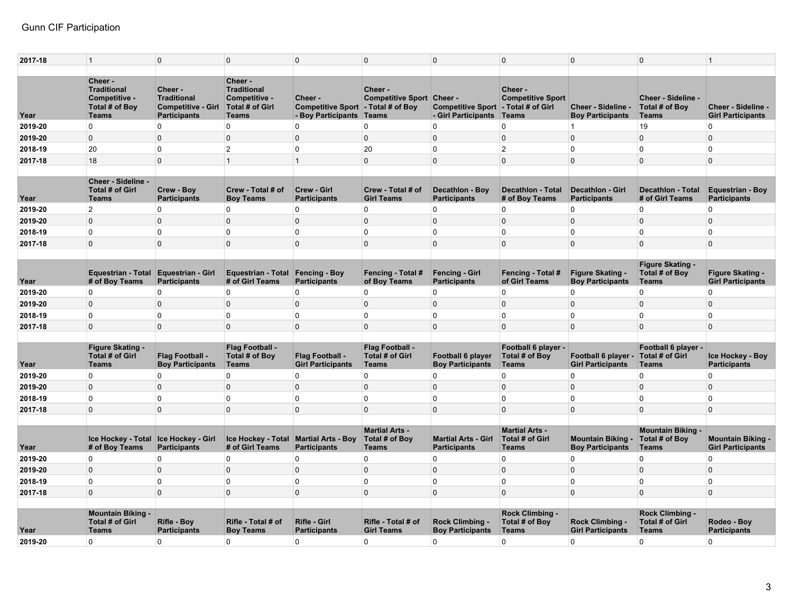| Cheer -<br>Cheer -<br><b>Traditional</b><br><b>Traditional</b><br>Cheer -<br>Cheer -<br>Cheer -<br>Competitive -<br><b>Traditional</b><br>Competitive -<br><b>Competitive Sport Cheer -</b><br><b>Competitive Sport</b><br><b>Cheer - Sideline</b><br>Cheer-<br>- Total # of Girl<br><b>Competitive - Girl</b><br><b>Total # of Girl</b><br>Competitive Sport - Total # of Boy<br><b>Competitive Sport</b><br>Total # of Boy<br>Cheer - Sideline -<br>Total # of Boy<br>Cheer - Sideline -<br><b>Participants</b><br>- Boy Participants Teams<br>- Girl Participants<br>Teams<br>Year<br><b>Teams</b><br><b>Teams</b><br><b>Boy Participants</b><br><b>Teams</b><br><b>Girl Participants</b><br>0<br>$\overline{0}$<br>$\mathbf 0$<br>0<br>$\mathbf 0$<br>$\pmb{0}$<br>$\overline{0}$<br>19<br>$\overline{0}$<br>2019-20<br>$\overline{1}$<br>$\mathbf{0}$<br>$\mathbf 0$<br>$\Omega$<br>$\overline{0}$<br>$\Omega$<br>$\Omega$<br>$\mathbf 0$<br>0<br>$\Omega$<br>$\overline{0}$<br>2019-20<br>20<br>$\Omega$<br>2<br>$\Omega$<br>20<br>$\Omega$<br>$\overline{2}$<br>$\Omega$<br>$\Omega$<br>2018-19<br>$\Omega$<br>18<br>$\mathsf{O}$<br>$\mathbf 0$<br>$\overline{0}$<br>$\mathbf{0}$<br>$\Omega$<br>$\overline{0}$<br>$\overline{1}$<br>$\mathbf{1}$<br>$\Omega$<br>2017-18<br>Cheer - Sideline -<br><b>Total # of Girl</b><br>Crew - Boy<br>Crew - Total # of<br>Crew - Girl<br>Crew - Total # of<br><b>Decathlon - Total</b><br><b>Equestrian - Boy</b><br><b>Decathlon - Boy</b><br>Decathlon - Girl<br><b>Decathlon - Total</b><br>Year<br><b>Participants</b><br><b>Boy Teams</b><br><b>Girl Teams</b><br># of Boy Teams<br># of Girl Teams<br><b>Participants</b><br>Teams<br><b>Participants</b><br><b>Participants</b><br><b>Participants</b><br>$\overline{2}$<br>$\Omega$<br>2019-20<br>0<br>$\Omega$<br>$\Omega$<br>$\Omega$<br>$\mathbf 0$<br>0<br>$\Omega$<br>$\overline{0}$<br>$\overline{0}$<br>$\mathbf 0$<br>$\mathbf{0}$<br>$\mathbf 0$<br>$\overline{0}$<br>0<br>$\mathbf{0}$<br>$\Omega$<br>$\overline{0}$<br>2019-20<br>$\mathbf{0}$<br>$\overline{0}$<br>0<br>$\mathbf 0$<br>0<br>$\overline{0}$<br>2018-19<br>0<br>$\mathbf 0$<br>$\mathbf{0}$<br>$\Omega$<br>$\mathbf{0}$<br>$\overline{0}$<br>$\Omega$<br>$\mathbf 0$<br>$\overline{0}$<br>$\overline{0}$<br>$\mathbf 0$<br>$\mathbf 0$<br>0<br>$\mathbf{0}$<br>$\Omega$<br>2017-18<br><b>Figure Skating -</b><br><b>Equestrian - Girl</b><br><b>Figure Skating -</b><br>Total # of Boy<br>Figure Skating -<br><b>Equestrian - Total</b><br><b>Equestrian - Total</b><br><b>Fencing - Boy</b><br>Fencing - Total #<br><b>Fencing - Girl</b><br>Fencing - Total #<br>Year<br># of Boy Teams<br><b>Participants</b><br># of Girl Teams<br><b>Participants</b><br>of Boy Teams<br><b>Participants</b><br>of Girl Teams<br><b>Boy Participants</b><br><b>Girl Participants</b><br><b>Teams</b><br>$\overline{0}$<br>$\overline{0}$<br>$\overline{0}$<br>0<br>$\Omega$<br>$\Omega$<br>$\Omega$<br>$\overline{0}$<br>0<br>$\mathbf{0}$<br>2019-20<br>$\overline{0}$<br>$\mathsf{O}$<br>$\mathbf{0}$<br>$\mathbf 0$<br>$\overline{0}$<br>0<br>$\Omega$<br>$\Omega$<br>$\overline{0}$<br>$\mathbf{0}$<br>2019-20<br>$\overline{0}$<br>$\Omega$<br>$\overline{0}$<br>0<br>$\Omega$<br>$\Omega$<br>$\mathbf 0$<br>0<br>$\Omega$<br>$\Omega$<br>2018-19<br>$\Omega$<br>$\overline{0}$<br>$\Omega$<br>$\Omega$<br>$\overline{0}$<br>$\Omega$<br>$\Omega$<br>$\Omega$<br>$\Omega$<br>2017-18<br>$\Omega$<br><b>Figure Skating -</b><br>Flag Football -<br>Flag Football -<br>Football 6 player -<br>Football 6 player -<br>Total # of Girl<br>Flag Football -<br>Flag Football -<br><b>Total # of Girl</b><br><b>Total # of Boy</b><br>Total # of Girl<br>Total # of Boy<br><b>Football 6 player</b><br>Football 6 player -<br><b>Ice Hockey - Boy</b><br><b>Boy Participants</b><br><b>Girl Participants</b><br><b>Boy Participants</b><br><b>Girl Participants</b><br><b>Teams</b><br><b>Teams</b><br><b>Teams</b><br><b>Teams</b><br><b>Participants</b><br>Year<br><b>Teams</b><br>$\Omega$<br>0<br>0<br>$\overline{0}$<br>$\overline{0}$<br>$\Omega$<br>$\Omega$<br>$\overline{0}$<br>$\overline{0}$<br>$\Omega$<br>2019-20<br>0<br>$\mathbf{0}$<br>$\Omega$<br>$\Omega$<br>$\Omega$<br>2019-20<br>$\overline{0}$<br>$\Omega$<br>$\overline{0}$<br>$\Omega$<br>$\overline{0}$<br>2018-19<br>$\overline{0}$<br>0<br>$\mathbf 0$<br>$\mathbf 0$<br>$\mathbf 0$<br>0<br>$\mathbf 0$<br>$\overline{0}$<br>$\overline{0}$<br>0<br>$\overline{0}$<br>$\Omega$<br>$\Omega$<br>$\Omega$<br>$\mathbf 0$<br>$\Omega$<br>$\Omega$<br>$\Omega$<br>$\Omega$<br>2017-18<br>$\Omega$<br><b>Martial Arts -</b><br><b>Martial Arts -</b><br><b>Mountain Biking -</b><br>Total # of Boy<br><b>Mountain Biking -</b><br>Ice Hockey - Total<br><b>Ice Hockey - Girl</b><br>Ice Hockey - Total<br><b>Martial Arts - Boy</b><br><b>Martial Arts - Girl</b><br>Total # of Girl<br>Total # of Boy<br><b>Mountain Biking -</b><br>Year<br># of Boy Teams<br><b>Participants</b><br># of Girl Teams<br><b>Participants</b><br><b>Teams</b><br><b>Participants</b><br><b>Teams</b><br><b>Boy Participants</b><br><b>Teams</b><br><b>Girl Participants</b><br>$\overline{0}$<br>0<br>0<br>$\Omega$<br>$\mathbf 0$<br>$\mathbf 0$<br>0<br>$\Omega$<br>$\overline{0}$<br>$\overline{0}$<br>2019-20<br>$\overline{0}$<br>$\mathbf 0$<br>$\overline{0}$<br>$\overline{0}$<br>$\Omega$<br>$\mathbf{0}$<br>$\mathbf 0$<br>0<br>$\Omega$<br>$\Omega$<br>2019-20<br>$\overline{0}$<br>$\mathsf{O}$<br>$\mathbf 0$<br>0<br>$\Omega$<br>$\overline{0}$<br>0<br>$\mathbf 0$<br>$\mathbf 0$<br>$\mathbf{0}$<br>2018-19<br>$\mathsf{O}$<br>$\Omega$<br>$\Omega$<br>$\Omega$<br>$\Omega$<br>$\overline{0}$<br>$\Omega$<br>$\mathbf{0}$<br>0<br>$\mathbf 0$<br>2017-18<br><b>Mountain Biking -</b><br>Rock Climbing -<br><b>Rock Climbing</b><br><b>Total # of Girl</b><br>Rifle - Girl<br>Total # of Boy<br><b>Total # of Girl</b><br>Rifle - Boy<br>Rifle - Total # of<br>Rifle - Total # of<br><b>Rock Climbing -</b><br><b>Rock Climbing -</b><br>Rodeo - Boy<br><b>Participants</b><br>Year<br><b>Participants</b><br><b>Boy Teams</b><br><b>Participants</b><br><b>Girl Teams</b><br><b>Boy Participants</b><br><b>Teams</b><br><b>Girl Participants</b><br><b>Teams</b><br><b>Teams</b><br>2019-20<br>$\overline{0}$<br>$\Omega$<br>$\Omega$<br>$\mathbf{0}$<br>$\Omega$<br>$\overline{0}$<br>0<br>$\mathbf{0}$<br>$\Omega$<br>$\overline{0}$ | 2017-18 | $\mathbf{1}$ | $\mathbf 0$ | $\mathbf 0$ | $\mathbf{0}$ | $\Omega$ | $\overline{0}$ | 0 | $\Omega$ | $\Omega$ | $\mathbf{1}$ |
|---------------------------------------------------------------------------------------------------------------------------------------------------------------------------------------------------------------------------------------------------------------------------------------------------------------------------------------------------------------------------------------------------------------------------------------------------------------------------------------------------------------------------------------------------------------------------------------------------------------------------------------------------------------------------------------------------------------------------------------------------------------------------------------------------------------------------------------------------------------------------------------------------------------------------------------------------------------------------------------------------------------------------------------------------------------------------------------------------------------------------------------------------------------------------------------------------------------------------------------------------------------------------------------------------------------------------------------------------------------------------------------------------------------------------------------------------------------------------------------------------------------------------------------------------------------------------------------------------------------------------------------------------------------------------------------------------------------------------------------------------------------------------------------------------------------------------------------------------------------------------------------------------------------------------------------------------------------------------------------------------------------------------------------------------------------------------------------------------------------------------------------------------------------------------------------------------------------------------------------------------------------------------------------------------------------------------------------------------------------------------------------------------------------------------------------------------------------------------------------------------------------------------------------------------------------------------------------------------------------------------------------------------------------------------------------------------------------------------------------------------------------------------------------------------------------------------------------------------------------------------------------------------------------------------------------------------------------------------------------------------------------------------------------------------------------------------------------------------------------------------------------------------------------------------------------------------------------------------------------------------------------------------------------------------------------------------------------------------------------------------------------------------------------------------------------------------------------------------------------------------------------------------------------------------------------------------------------------------------------------------------------------------------------------------------------------------------------------------------------------------------------------------------------------------------------------------------------------------------------------------------------------------------------------------------------------------------------------------------------------------------------------------------------------------------------------------------------------------------------------------------------------------------------------------------------------------------------------------------------------------------------------------------------------------------------------------------------------------------------------------------------------------------------------------------------------------------------------------------------------------------------------------------------------------------------------------------------------------------------------------------------------------------------------------------------------------------------------------------------------------------------------------------------------------------------------------------------------------------------------------------------------------------------------------------------------------------------------------------------------------------------------------------------------------------------------------------------------------------------------------------------------------------------------------------------------------------------------------------------------------------------------------------------------------------------------------------------------------------------------------------------------------------------------------------------------------------------------------------------------------------------------------------------------------------------------------------------------------------------------------------------------------------------------------------------------------------------------------------------------------------------------------------------------------------------------------------------------------------------------------------------------------------------------------------------------------------------------------------------------------------------------------------------------------------------------------------------------------------------------------------------------------------------------------------------------------------------------------------------------------------------------------------------------------------------------------------------------------------------------------------------------------------------------------------------------------------------------------------|---------|--------------|-------------|-------------|--------------|----------|----------------|---|----------|----------|--------------|
|                                                                                                                                                                                                                                                                                                                                                                                                                                                                                                                                                                                                                                                                                                                                                                                                                                                                                                                                                                                                                                                                                                                                                                                                                                                                                                                                                                                                                                                                                                                                                                                                                                                                                                                                                                                                                                                                                                                                                                                                                                                                                                                                                                                                                                                                                                                                                                                                                                                                                                                                                                                                                                                                                                                                                                                                                                                                                                                                                                                                                                                                                                                                                                                                                                                                                                                                                                                                                                                                                                                                                                                                                                                                                                                                                                                                                                                                                                                                                                                                                                                                                                                                                                                                                                                                                                                                                                                                                                                                                                                                                                                                                                                                                                                                                                                                                                                                                                                                                                                                                                                                                                                                                                                                                                                                                                                                                                                                                                                                                                                                                                                                                                                                                                                                                                                                                                                                                                                                                                                                                                                                                                                                                                                                                                                                                                                                                                                                                                                                                 |         |              |             |             |              |          |                |   |          |          |              |
|                                                                                                                                                                                                                                                                                                                                                                                                                                                                                                                                                                                                                                                                                                                                                                                                                                                                                                                                                                                                                                                                                                                                                                                                                                                                                                                                                                                                                                                                                                                                                                                                                                                                                                                                                                                                                                                                                                                                                                                                                                                                                                                                                                                                                                                                                                                                                                                                                                                                                                                                                                                                                                                                                                                                                                                                                                                                                                                                                                                                                                                                                                                                                                                                                                                                                                                                                                                                                                                                                                                                                                                                                                                                                                                                                                                                                                                                                                                                                                                                                                                                                                                                                                                                                                                                                                                                                                                                                                                                                                                                                                                                                                                                                                                                                                                                                                                                                                                                                                                                                                                                                                                                                                                                                                                                                                                                                                                                                                                                                                                                                                                                                                                                                                                                                                                                                                                                                                                                                                                                                                                                                                                                                                                                                                                                                                                                                                                                                                                                                 |         |              |             |             |              |          |                |   |          |          |              |
|                                                                                                                                                                                                                                                                                                                                                                                                                                                                                                                                                                                                                                                                                                                                                                                                                                                                                                                                                                                                                                                                                                                                                                                                                                                                                                                                                                                                                                                                                                                                                                                                                                                                                                                                                                                                                                                                                                                                                                                                                                                                                                                                                                                                                                                                                                                                                                                                                                                                                                                                                                                                                                                                                                                                                                                                                                                                                                                                                                                                                                                                                                                                                                                                                                                                                                                                                                                                                                                                                                                                                                                                                                                                                                                                                                                                                                                                                                                                                                                                                                                                                                                                                                                                                                                                                                                                                                                                                                                                                                                                                                                                                                                                                                                                                                                                                                                                                                                                                                                                                                                                                                                                                                                                                                                                                                                                                                                                                                                                                                                                                                                                                                                                                                                                                                                                                                                                                                                                                                                                                                                                                                                                                                                                                                                                                                                                                                                                                                                                                 |         |              |             |             |              |          |                |   |          |          |              |
|                                                                                                                                                                                                                                                                                                                                                                                                                                                                                                                                                                                                                                                                                                                                                                                                                                                                                                                                                                                                                                                                                                                                                                                                                                                                                                                                                                                                                                                                                                                                                                                                                                                                                                                                                                                                                                                                                                                                                                                                                                                                                                                                                                                                                                                                                                                                                                                                                                                                                                                                                                                                                                                                                                                                                                                                                                                                                                                                                                                                                                                                                                                                                                                                                                                                                                                                                                                                                                                                                                                                                                                                                                                                                                                                                                                                                                                                                                                                                                                                                                                                                                                                                                                                                                                                                                                                                                                                                                                                                                                                                                                                                                                                                                                                                                                                                                                                                                                                                                                                                                                                                                                                                                                                                                                                                                                                                                                                                                                                                                                                                                                                                                                                                                                                                                                                                                                                                                                                                                                                                                                                                                                                                                                                                                                                                                                                                                                                                                                                                 |         |              |             |             |              |          |                |   |          |          |              |
|                                                                                                                                                                                                                                                                                                                                                                                                                                                                                                                                                                                                                                                                                                                                                                                                                                                                                                                                                                                                                                                                                                                                                                                                                                                                                                                                                                                                                                                                                                                                                                                                                                                                                                                                                                                                                                                                                                                                                                                                                                                                                                                                                                                                                                                                                                                                                                                                                                                                                                                                                                                                                                                                                                                                                                                                                                                                                                                                                                                                                                                                                                                                                                                                                                                                                                                                                                                                                                                                                                                                                                                                                                                                                                                                                                                                                                                                                                                                                                                                                                                                                                                                                                                                                                                                                                                                                                                                                                                                                                                                                                                                                                                                                                                                                                                                                                                                                                                                                                                                                                                                                                                                                                                                                                                                                                                                                                                                                                                                                                                                                                                                                                                                                                                                                                                                                                                                                                                                                                                                                                                                                                                                                                                                                                                                                                                                                                                                                                                                                 |         |              |             |             |              |          |                |   |          |          |              |
|                                                                                                                                                                                                                                                                                                                                                                                                                                                                                                                                                                                                                                                                                                                                                                                                                                                                                                                                                                                                                                                                                                                                                                                                                                                                                                                                                                                                                                                                                                                                                                                                                                                                                                                                                                                                                                                                                                                                                                                                                                                                                                                                                                                                                                                                                                                                                                                                                                                                                                                                                                                                                                                                                                                                                                                                                                                                                                                                                                                                                                                                                                                                                                                                                                                                                                                                                                                                                                                                                                                                                                                                                                                                                                                                                                                                                                                                                                                                                                                                                                                                                                                                                                                                                                                                                                                                                                                                                                                                                                                                                                                                                                                                                                                                                                                                                                                                                                                                                                                                                                                                                                                                                                                                                                                                                                                                                                                                                                                                                                                                                                                                                                                                                                                                                                                                                                                                                                                                                                                                                                                                                                                                                                                                                                                                                                                                                                                                                                                                                 |         |              |             |             |              |          |                |   |          |          |              |
|                                                                                                                                                                                                                                                                                                                                                                                                                                                                                                                                                                                                                                                                                                                                                                                                                                                                                                                                                                                                                                                                                                                                                                                                                                                                                                                                                                                                                                                                                                                                                                                                                                                                                                                                                                                                                                                                                                                                                                                                                                                                                                                                                                                                                                                                                                                                                                                                                                                                                                                                                                                                                                                                                                                                                                                                                                                                                                                                                                                                                                                                                                                                                                                                                                                                                                                                                                                                                                                                                                                                                                                                                                                                                                                                                                                                                                                                                                                                                                                                                                                                                                                                                                                                                                                                                                                                                                                                                                                                                                                                                                                                                                                                                                                                                                                                                                                                                                                                                                                                                                                                                                                                                                                                                                                                                                                                                                                                                                                                                                                                                                                                                                                                                                                                                                                                                                                                                                                                                                                                                                                                                                                                                                                                                                                                                                                                                                                                                                                                                 |         |              |             |             |              |          |                |   |          |          |              |
|                                                                                                                                                                                                                                                                                                                                                                                                                                                                                                                                                                                                                                                                                                                                                                                                                                                                                                                                                                                                                                                                                                                                                                                                                                                                                                                                                                                                                                                                                                                                                                                                                                                                                                                                                                                                                                                                                                                                                                                                                                                                                                                                                                                                                                                                                                                                                                                                                                                                                                                                                                                                                                                                                                                                                                                                                                                                                                                                                                                                                                                                                                                                                                                                                                                                                                                                                                                                                                                                                                                                                                                                                                                                                                                                                                                                                                                                                                                                                                                                                                                                                                                                                                                                                                                                                                                                                                                                                                                                                                                                                                                                                                                                                                                                                                                                                                                                                                                                                                                                                                                                                                                                                                                                                                                                                                                                                                                                                                                                                                                                                                                                                                                                                                                                                                                                                                                                                                                                                                                                                                                                                                                                                                                                                                                                                                                                                                                                                                                                                 |         |              |             |             |              |          |                |   |          |          |              |
|                                                                                                                                                                                                                                                                                                                                                                                                                                                                                                                                                                                                                                                                                                                                                                                                                                                                                                                                                                                                                                                                                                                                                                                                                                                                                                                                                                                                                                                                                                                                                                                                                                                                                                                                                                                                                                                                                                                                                                                                                                                                                                                                                                                                                                                                                                                                                                                                                                                                                                                                                                                                                                                                                                                                                                                                                                                                                                                                                                                                                                                                                                                                                                                                                                                                                                                                                                                                                                                                                                                                                                                                                                                                                                                                                                                                                                                                                                                                                                                                                                                                                                                                                                                                                                                                                                                                                                                                                                                                                                                                                                                                                                                                                                                                                                                                                                                                                                                                                                                                                                                                                                                                                                                                                                                                                                                                                                                                                                                                                                                                                                                                                                                                                                                                                                                                                                                                                                                                                                                                                                                                                                                                                                                                                                                                                                                                                                                                                                                                                 |         |              |             |             |              |          |                |   |          |          |              |
|                                                                                                                                                                                                                                                                                                                                                                                                                                                                                                                                                                                                                                                                                                                                                                                                                                                                                                                                                                                                                                                                                                                                                                                                                                                                                                                                                                                                                                                                                                                                                                                                                                                                                                                                                                                                                                                                                                                                                                                                                                                                                                                                                                                                                                                                                                                                                                                                                                                                                                                                                                                                                                                                                                                                                                                                                                                                                                                                                                                                                                                                                                                                                                                                                                                                                                                                                                                                                                                                                                                                                                                                                                                                                                                                                                                                                                                                                                                                                                                                                                                                                                                                                                                                                                                                                                                                                                                                                                                                                                                                                                                                                                                                                                                                                                                                                                                                                                                                                                                                                                                                                                                                                                                                                                                                                                                                                                                                                                                                                                                                                                                                                                                                                                                                                                                                                                                                                                                                                                                                                                                                                                                                                                                                                                                                                                                                                                                                                                                                                 |         |              |             |             |              |          |                |   |          |          |              |
|                                                                                                                                                                                                                                                                                                                                                                                                                                                                                                                                                                                                                                                                                                                                                                                                                                                                                                                                                                                                                                                                                                                                                                                                                                                                                                                                                                                                                                                                                                                                                                                                                                                                                                                                                                                                                                                                                                                                                                                                                                                                                                                                                                                                                                                                                                                                                                                                                                                                                                                                                                                                                                                                                                                                                                                                                                                                                                                                                                                                                                                                                                                                                                                                                                                                                                                                                                                                                                                                                                                                                                                                                                                                                                                                                                                                                                                                                                                                                                                                                                                                                                                                                                                                                                                                                                                                                                                                                                                                                                                                                                                                                                                                                                                                                                                                                                                                                                                                                                                                                                                                                                                                                                                                                                                                                                                                                                                                                                                                                                                                                                                                                                                                                                                                                                                                                                                                                                                                                                                                                                                                                                                                                                                                                                                                                                                                                                                                                                                                                 |         |              |             |             |              |          |                |   |          |          |              |
|                                                                                                                                                                                                                                                                                                                                                                                                                                                                                                                                                                                                                                                                                                                                                                                                                                                                                                                                                                                                                                                                                                                                                                                                                                                                                                                                                                                                                                                                                                                                                                                                                                                                                                                                                                                                                                                                                                                                                                                                                                                                                                                                                                                                                                                                                                                                                                                                                                                                                                                                                                                                                                                                                                                                                                                                                                                                                                                                                                                                                                                                                                                                                                                                                                                                                                                                                                                                                                                                                                                                                                                                                                                                                                                                                                                                                                                                                                                                                                                                                                                                                                                                                                                                                                                                                                                                                                                                                                                                                                                                                                                                                                                                                                                                                                                                                                                                                                                                                                                                                                                                                                                                                                                                                                                                                                                                                                                                                                                                                                                                                                                                                                                                                                                                                                                                                                                                                                                                                                                                                                                                                                                                                                                                                                                                                                                                                                                                                                                                                 |         |              |             |             |              |          |                |   |          |          |              |
|                                                                                                                                                                                                                                                                                                                                                                                                                                                                                                                                                                                                                                                                                                                                                                                                                                                                                                                                                                                                                                                                                                                                                                                                                                                                                                                                                                                                                                                                                                                                                                                                                                                                                                                                                                                                                                                                                                                                                                                                                                                                                                                                                                                                                                                                                                                                                                                                                                                                                                                                                                                                                                                                                                                                                                                                                                                                                                                                                                                                                                                                                                                                                                                                                                                                                                                                                                                                                                                                                                                                                                                                                                                                                                                                                                                                                                                                                                                                                                                                                                                                                                                                                                                                                                                                                                                                                                                                                                                                                                                                                                                                                                                                                                                                                                                                                                                                                                                                                                                                                                                                                                                                                                                                                                                                                                                                                                                                                                                                                                                                                                                                                                                                                                                                                                                                                                                                                                                                                                                                                                                                                                                                                                                                                                                                                                                                                                                                                                                                                 |         |              |             |             |              |          |                |   |          |          |              |
|                                                                                                                                                                                                                                                                                                                                                                                                                                                                                                                                                                                                                                                                                                                                                                                                                                                                                                                                                                                                                                                                                                                                                                                                                                                                                                                                                                                                                                                                                                                                                                                                                                                                                                                                                                                                                                                                                                                                                                                                                                                                                                                                                                                                                                                                                                                                                                                                                                                                                                                                                                                                                                                                                                                                                                                                                                                                                                                                                                                                                                                                                                                                                                                                                                                                                                                                                                                                                                                                                                                                                                                                                                                                                                                                                                                                                                                                                                                                                                                                                                                                                                                                                                                                                                                                                                                                                                                                                                                                                                                                                                                                                                                                                                                                                                                                                                                                                                                                                                                                                                                                                                                                                                                                                                                                                                                                                                                                                                                                                                                                                                                                                                                                                                                                                                                                                                                                                                                                                                                                                                                                                                                                                                                                                                                                                                                                                                                                                                                                                 |         |              |             |             |              |          |                |   |          |          |              |
|                                                                                                                                                                                                                                                                                                                                                                                                                                                                                                                                                                                                                                                                                                                                                                                                                                                                                                                                                                                                                                                                                                                                                                                                                                                                                                                                                                                                                                                                                                                                                                                                                                                                                                                                                                                                                                                                                                                                                                                                                                                                                                                                                                                                                                                                                                                                                                                                                                                                                                                                                                                                                                                                                                                                                                                                                                                                                                                                                                                                                                                                                                                                                                                                                                                                                                                                                                                                                                                                                                                                                                                                                                                                                                                                                                                                                                                                                                                                                                                                                                                                                                                                                                                                                                                                                                                                                                                                                                                                                                                                                                                                                                                                                                                                                                                                                                                                                                                                                                                                                                                                                                                                                                                                                                                                                                                                                                                                                                                                                                                                                                                                                                                                                                                                                                                                                                                                                                                                                                                                                                                                                                                                                                                                                                                                                                                                                                                                                                                                                 |         |              |             |             |              |          |                |   |          |          |              |
|                                                                                                                                                                                                                                                                                                                                                                                                                                                                                                                                                                                                                                                                                                                                                                                                                                                                                                                                                                                                                                                                                                                                                                                                                                                                                                                                                                                                                                                                                                                                                                                                                                                                                                                                                                                                                                                                                                                                                                                                                                                                                                                                                                                                                                                                                                                                                                                                                                                                                                                                                                                                                                                                                                                                                                                                                                                                                                                                                                                                                                                                                                                                                                                                                                                                                                                                                                                                                                                                                                                                                                                                                                                                                                                                                                                                                                                                                                                                                                                                                                                                                                                                                                                                                                                                                                                                                                                                                                                                                                                                                                                                                                                                                                                                                                                                                                                                                                                                                                                                                                                                                                                                                                                                                                                                                                                                                                                                                                                                                                                                                                                                                                                                                                                                                                                                                                                                                                                                                                                                                                                                                                                                                                                                                                                                                                                                                                                                                                                                                 |         |              |             |             |              |          |                |   |          |          |              |
|                                                                                                                                                                                                                                                                                                                                                                                                                                                                                                                                                                                                                                                                                                                                                                                                                                                                                                                                                                                                                                                                                                                                                                                                                                                                                                                                                                                                                                                                                                                                                                                                                                                                                                                                                                                                                                                                                                                                                                                                                                                                                                                                                                                                                                                                                                                                                                                                                                                                                                                                                                                                                                                                                                                                                                                                                                                                                                                                                                                                                                                                                                                                                                                                                                                                                                                                                                                                                                                                                                                                                                                                                                                                                                                                                                                                                                                                                                                                                                                                                                                                                                                                                                                                                                                                                                                                                                                                                                                                                                                                                                                                                                                                                                                                                                                                                                                                                                                                                                                                                                                                                                                                                                                                                                                                                                                                                                                                                                                                                                                                                                                                                                                                                                                                                                                                                                                                                                                                                                                                                                                                                                                                                                                                                                                                                                                                                                                                                                                                                 |         |              |             |             |              |          |                |   |          |          |              |
|                                                                                                                                                                                                                                                                                                                                                                                                                                                                                                                                                                                                                                                                                                                                                                                                                                                                                                                                                                                                                                                                                                                                                                                                                                                                                                                                                                                                                                                                                                                                                                                                                                                                                                                                                                                                                                                                                                                                                                                                                                                                                                                                                                                                                                                                                                                                                                                                                                                                                                                                                                                                                                                                                                                                                                                                                                                                                                                                                                                                                                                                                                                                                                                                                                                                                                                                                                                                                                                                                                                                                                                                                                                                                                                                                                                                                                                                                                                                                                                                                                                                                                                                                                                                                                                                                                                                                                                                                                                                                                                                                                                                                                                                                                                                                                                                                                                                                                                                                                                                                                                                                                                                                                                                                                                                                                                                                                                                                                                                                                                                                                                                                                                                                                                                                                                                                                                                                                                                                                                                                                                                                                                                                                                                                                                                                                                                                                                                                                                                                 |         |              |             |             |              |          |                |   |          |          |              |
|                                                                                                                                                                                                                                                                                                                                                                                                                                                                                                                                                                                                                                                                                                                                                                                                                                                                                                                                                                                                                                                                                                                                                                                                                                                                                                                                                                                                                                                                                                                                                                                                                                                                                                                                                                                                                                                                                                                                                                                                                                                                                                                                                                                                                                                                                                                                                                                                                                                                                                                                                                                                                                                                                                                                                                                                                                                                                                                                                                                                                                                                                                                                                                                                                                                                                                                                                                                                                                                                                                                                                                                                                                                                                                                                                                                                                                                                                                                                                                                                                                                                                                                                                                                                                                                                                                                                                                                                                                                                                                                                                                                                                                                                                                                                                                                                                                                                                                                                                                                                                                                                                                                                                                                                                                                                                                                                                                                                                                                                                                                                                                                                                                                                                                                                                                                                                                                                                                                                                                                                                                                                                                                                                                                                                                                                                                                                                                                                                                                                                 |         |              |             |             |              |          |                |   |          |          |              |
|                                                                                                                                                                                                                                                                                                                                                                                                                                                                                                                                                                                                                                                                                                                                                                                                                                                                                                                                                                                                                                                                                                                                                                                                                                                                                                                                                                                                                                                                                                                                                                                                                                                                                                                                                                                                                                                                                                                                                                                                                                                                                                                                                                                                                                                                                                                                                                                                                                                                                                                                                                                                                                                                                                                                                                                                                                                                                                                                                                                                                                                                                                                                                                                                                                                                                                                                                                                                                                                                                                                                                                                                                                                                                                                                                                                                                                                                                                                                                                                                                                                                                                                                                                                                                                                                                                                                                                                                                                                                                                                                                                                                                                                                                                                                                                                                                                                                                                                                                                                                                                                                                                                                                                                                                                                                                                                                                                                                                                                                                                                                                                                                                                                                                                                                                                                                                                                                                                                                                                                                                                                                                                                                                                                                                                                                                                                                                                                                                                                                                 |         |              |             |             |              |          |                |   |          |          |              |
|                                                                                                                                                                                                                                                                                                                                                                                                                                                                                                                                                                                                                                                                                                                                                                                                                                                                                                                                                                                                                                                                                                                                                                                                                                                                                                                                                                                                                                                                                                                                                                                                                                                                                                                                                                                                                                                                                                                                                                                                                                                                                                                                                                                                                                                                                                                                                                                                                                                                                                                                                                                                                                                                                                                                                                                                                                                                                                                                                                                                                                                                                                                                                                                                                                                                                                                                                                                                                                                                                                                                                                                                                                                                                                                                                                                                                                                                                                                                                                                                                                                                                                                                                                                                                                                                                                                                                                                                                                                                                                                                                                                                                                                                                                                                                                                                                                                                                                                                                                                                                                                                                                                                                                                                                                                                                                                                                                                                                                                                                                                                                                                                                                                                                                                                                                                                                                                                                                                                                                                                                                                                                                                                                                                                                                                                                                                                                                                                                                                                                 |         |              |             |             |              |          |                |   |          |          |              |
|                                                                                                                                                                                                                                                                                                                                                                                                                                                                                                                                                                                                                                                                                                                                                                                                                                                                                                                                                                                                                                                                                                                                                                                                                                                                                                                                                                                                                                                                                                                                                                                                                                                                                                                                                                                                                                                                                                                                                                                                                                                                                                                                                                                                                                                                                                                                                                                                                                                                                                                                                                                                                                                                                                                                                                                                                                                                                                                                                                                                                                                                                                                                                                                                                                                                                                                                                                                                                                                                                                                                                                                                                                                                                                                                                                                                                                                                                                                                                                                                                                                                                                                                                                                                                                                                                                                                                                                                                                                                                                                                                                                                                                                                                                                                                                                                                                                                                                                                                                                                                                                                                                                                                                                                                                                                                                                                                                                                                                                                                                                                                                                                                                                                                                                                                                                                                                                                                                                                                                                                                                                                                                                                                                                                                                                                                                                                                                                                                                                                                 |         |              |             |             |              |          |                |   |          |          |              |
|                                                                                                                                                                                                                                                                                                                                                                                                                                                                                                                                                                                                                                                                                                                                                                                                                                                                                                                                                                                                                                                                                                                                                                                                                                                                                                                                                                                                                                                                                                                                                                                                                                                                                                                                                                                                                                                                                                                                                                                                                                                                                                                                                                                                                                                                                                                                                                                                                                                                                                                                                                                                                                                                                                                                                                                                                                                                                                                                                                                                                                                                                                                                                                                                                                                                                                                                                                                                                                                                                                                                                                                                                                                                                                                                                                                                                                                                                                                                                                                                                                                                                                                                                                                                                                                                                                                                                                                                                                                                                                                                                                                                                                                                                                                                                                                                                                                                                                                                                                                                                                                                                                                                                                                                                                                                                                                                                                                                                                                                                                                                                                                                                                                                                                                                                                                                                                                                                                                                                                                                                                                                                                                                                                                                                                                                                                                                                                                                                                                                                 |         |              |             |             |              |          |                |   |          |          |              |
|                                                                                                                                                                                                                                                                                                                                                                                                                                                                                                                                                                                                                                                                                                                                                                                                                                                                                                                                                                                                                                                                                                                                                                                                                                                                                                                                                                                                                                                                                                                                                                                                                                                                                                                                                                                                                                                                                                                                                                                                                                                                                                                                                                                                                                                                                                                                                                                                                                                                                                                                                                                                                                                                                                                                                                                                                                                                                                                                                                                                                                                                                                                                                                                                                                                                                                                                                                                                                                                                                                                                                                                                                                                                                                                                                                                                                                                                                                                                                                                                                                                                                                                                                                                                                                                                                                                                                                                                                                                                                                                                                                                                                                                                                                                                                                                                                                                                                                                                                                                                                                                                                                                                                                                                                                                                                                                                                                                                                                                                                                                                                                                                                                                                                                                                                                                                                                                                                                                                                                                                                                                                                                                                                                                                                                                                                                                                                                                                                                                                                 |         |              |             |             |              |          |                |   |          |          |              |
|                                                                                                                                                                                                                                                                                                                                                                                                                                                                                                                                                                                                                                                                                                                                                                                                                                                                                                                                                                                                                                                                                                                                                                                                                                                                                                                                                                                                                                                                                                                                                                                                                                                                                                                                                                                                                                                                                                                                                                                                                                                                                                                                                                                                                                                                                                                                                                                                                                                                                                                                                                                                                                                                                                                                                                                                                                                                                                                                                                                                                                                                                                                                                                                                                                                                                                                                                                                                                                                                                                                                                                                                                                                                                                                                                                                                                                                                                                                                                                                                                                                                                                                                                                                                                                                                                                                                                                                                                                                                                                                                                                                                                                                                                                                                                                                                                                                                                                                                                                                                                                                                                                                                                                                                                                                                                                                                                                                                                                                                                                                                                                                                                                                                                                                                                                                                                                                                                                                                                                                                                                                                                                                                                                                                                                                                                                                                                                                                                                                                                 |         |              |             |             |              |          |                |   |          |          |              |
|                                                                                                                                                                                                                                                                                                                                                                                                                                                                                                                                                                                                                                                                                                                                                                                                                                                                                                                                                                                                                                                                                                                                                                                                                                                                                                                                                                                                                                                                                                                                                                                                                                                                                                                                                                                                                                                                                                                                                                                                                                                                                                                                                                                                                                                                                                                                                                                                                                                                                                                                                                                                                                                                                                                                                                                                                                                                                                                                                                                                                                                                                                                                                                                                                                                                                                                                                                                                                                                                                                                                                                                                                                                                                                                                                                                                                                                                                                                                                                                                                                                                                                                                                                                                                                                                                                                                                                                                                                                                                                                                                                                                                                                                                                                                                                                                                                                                                                                                                                                                                                                                                                                                                                                                                                                                                                                                                                                                                                                                                                                                                                                                                                                                                                                                                                                                                                                                                                                                                                                                                                                                                                                                                                                                                                                                                                                                                                                                                                                                                 |         |              |             |             |              |          |                |   |          |          |              |
|                                                                                                                                                                                                                                                                                                                                                                                                                                                                                                                                                                                                                                                                                                                                                                                                                                                                                                                                                                                                                                                                                                                                                                                                                                                                                                                                                                                                                                                                                                                                                                                                                                                                                                                                                                                                                                                                                                                                                                                                                                                                                                                                                                                                                                                                                                                                                                                                                                                                                                                                                                                                                                                                                                                                                                                                                                                                                                                                                                                                                                                                                                                                                                                                                                                                                                                                                                                                                                                                                                                                                                                                                                                                                                                                                                                                                                                                                                                                                                                                                                                                                                                                                                                                                                                                                                                                                                                                                                                                                                                                                                                                                                                                                                                                                                                                                                                                                                                                                                                                                                                                                                                                                                                                                                                                                                                                                                                                                                                                                                                                                                                                                                                                                                                                                                                                                                                                                                                                                                                                                                                                                                                                                                                                                                                                                                                                                                                                                                                                                 |         |              |             |             |              |          |                |   |          |          |              |
|                                                                                                                                                                                                                                                                                                                                                                                                                                                                                                                                                                                                                                                                                                                                                                                                                                                                                                                                                                                                                                                                                                                                                                                                                                                                                                                                                                                                                                                                                                                                                                                                                                                                                                                                                                                                                                                                                                                                                                                                                                                                                                                                                                                                                                                                                                                                                                                                                                                                                                                                                                                                                                                                                                                                                                                                                                                                                                                                                                                                                                                                                                                                                                                                                                                                                                                                                                                                                                                                                                                                                                                                                                                                                                                                                                                                                                                                                                                                                                                                                                                                                                                                                                                                                                                                                                                                                                                                                                                                                                                                                                                                                                                                                                                                                                                                                                                                                                                                                                                                                                                                                                                                                                                                                                                                                                                                                                                                                                                                                                                                                                                                                                                                                                                                                                                                                                                                                                                                                                                                                                                                                                                                                                                                                                                                                                                                                                                                                                                                                 |         |              |             |             |              |          |                |   |          |          |              |
|                                                                                                                                                                                                                                                                                                                                                                                                                                                                                                                                                                                                                                                                                                                                                                                                                                                                                                                                                                                                                                                                                                                                                                                                                                                                                                                                                                                                                                                                                                                                                                                                                                                                                                                                                                                                                                                                                                                                                                                                                                                                                                                                                                                                                                                                                                                                                                                                                                                                                                                                                                                                                                                                                                                                                                                                                                                                                                                                                                                                                                                                                                                                                                                                                                                                                                                                                                                                                                                                                                                                                                                                                                                                                                                                                                                                                                                                                                                                                                                                                                                                                                                                                                                                                                                                                                                                                                                                                                                                                                                                                                                                                                                                                                                                                                                                                                                                                                                                                                                                                                                                                                                                                                                                                                                                                                                                                                                                                                                                                                                                                                                                                                                                                                                                                                                                                                                                                                                                                                                                                                                                                                                                                                                                                                                                                                                                                                                                                                                                                 |         |              |             |             |              |          |                |   |          |          |              |
|                                                                                                                                                                                                                                                                                                                                                                                                                                                                                                                                                                                                                                                                                                                                                                                                                                                                                                                                                                                                                                                                                                                                                                                                                                                                                                                                                                                                                                                                                                                                                                                                                                                                                                                                                                                                                                                                                                                                                                                                                                                                                                                                                                                                                                                                                                                                                                                                                                                                                                                                                                                                                                                                                                                                                                                                                                                                                                                                                                                                                                                                                                                                                                                                                                                                                                                                                                                                                                                                                                                                                                                                                                                                                                                                                                                                                                                                                                                                                                                                                                                                                                                                                                                                                                                                                                                                                                                                                                                                                                                                                                                                                                                                                                                                                                                                                                                                                                                                                                                                                                                                                                                                                                                                                                                                                                                                                                                                                                                                                                                                                                                                                                                                                                                                                                                                                                                                                                                                                                                                                                                                                                                                                                                                                                                                                                                                                                                                                                                                                 |         |              |             |             |              |          |                |   |          |          |              |
|                                                                                                                                                                                                                                                                                                                                                                                                                                                                                                                                                                                                                                                                                                                                                                                                                                                                                                                                                                                                                                                                                                                                                                                                                                                                                                                                                                                                                                                                                                                                                                                                                                                                                                                                                                                                                                                                                                                                                                                                                                                                                                                                                                                                                                                                                                                                                                                                                                                                                                                                                                                                                                                                                                                                                                                                                                                                                                                                                                                                                                                                                                                                                                                                                                                                                                                                                                                                                                                                                                                                                                                                                                                                                                                                                                                                                                                                                                                                                                                                                                                                                                                                                                                                                                                                                                                                                                                                                                                                                                                                                                                                                                                                                                                                                                                                                                                                                                                                                                                                                                                                                                                                                                                                                                                                                                                                                                                                                                                                                                                                                                                                                                                                                                                                                                                                                                                                                                                                                                                                                                                                                                                                                                                                                                                                                                                                                                                                                                                                                 |         |              |             |             |              |          |                |   |          |          |              |
|                                                                                                                                                                                                                                                                                                                                                                                                                                                                                                                                                                                                                                                                                                                                                                                                                                                                                                                                                                                                                                                                                                                                                                                                                                                                                                                                                                                                                                                                                                                                                                                                                                                                                                                                                                                                                                                                                                                                                                                                                                                                                                                                                                                                                                                                                                                                                                                                                                                                                                                                                                                                                                                                                                                                                                                                                                                                                                                                                                                                                                                                                                                                                                                                                                                                                                                                                                                                                                                                                                                                                                                                                                                                                                                                                                                                                                                                                                                                                                                                                                                                                                                                                                                                                                                                                                                                                                                                                                                                                                                                                                                                                                                                                                                                                                                                                                                                                                                                                                                                                                                                                                                                                                                                                                                                                                                                                                                                                                                                                                                                                                                                                                                                                                                                                                                                                                                                                                                                                                                                                                                                                                                                                                                                                                                                                                                                                                                                                                                                                 |         |              |             |             |              |          |                |   |          |          |              |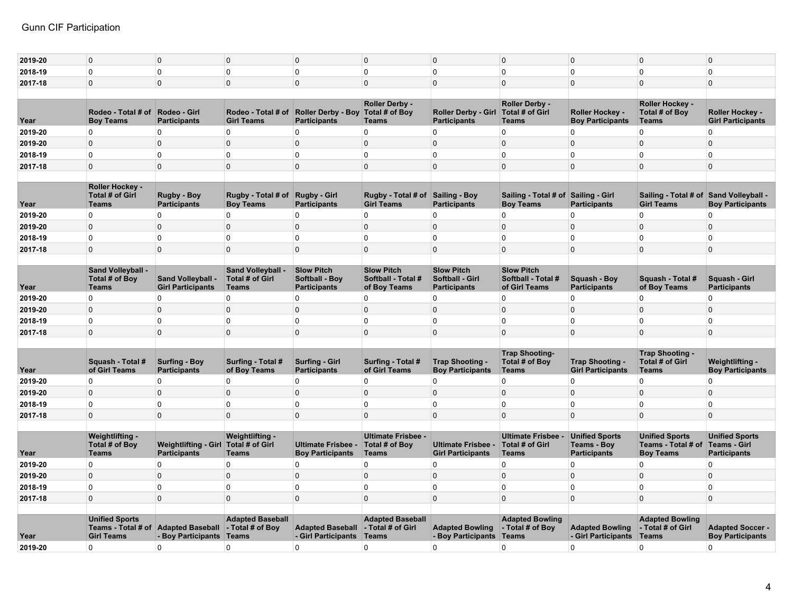| 2019-20 | $\Omega$                                                         | 0                                                         | $\Omega$                                                           | $\Omega$                                                   | $\mathbf 0$                                             | 0                                                                  | $\Omega$                                                   | $\Omega$                                      | $\Omega$                                                    | 0                                                  |
|---------|------------------------------------------------------------------|-----------------------------------------------------------|--------------------------------------------------------------------|------------------------------------------------------------|---------------------------------------------------------|--------------------------------------------------------------------|------------------------------------------------------------|-----------------------------------------------|-------------------------------------------------------------|----------------------------------------------------|
| 2018-19 | $\Omega$                                                         | $\Omega$                                                  | $\Omega$                                                           | $\Omega$                                                   | $\Omega$                                                | $\Omega$                                                           | 0                                                          | $\Omega$                                      | $\mathbf 0$                                                 | $\Omega$                                           |
| 2017-18 | $\overline{0}$                                                   | $\mathbf 0$                                               | $\mathbf 0$                                                        | $\Omega$                                                   | $\overline{0}$                                          | 0                                                                  | $\mathbf 0$                                                | $\Omega$                                      | $\mathbf{0}$                                                | $\mathbf 0$                                        |
|         |                                                                  |                                                           |                                                                    |                                                            |                                                         |                                                                    |                                                            |                                               |                                                             |                                                    |
| Year    | Rodeo - Total # of<br><b>Boy Teams</b>                           | Rodeo - Girl<br><b>Participants</b>                       | Rodeo - Total # of<br><b>Girl Teams</b>                            | <b>Roller Derby - Boy</b><br><b>Participants</b>           | Roller Derby -<br>Total # of Boy<br><b>Teams</b>        | <b>Roller Derby - Girl</b><br><b>Participants</b>                  | Roller Derby -<br><b>Total # of Girl</b><br><b>Teams</b>   | Roller Hockey -<br><b>Boy Participants</b>    | Roller Hockey -<br>Total # of Boy<br><b>Teams</b>           | Roller Hockey -<br><b>Girl Participants</b>        |
| 2019-20 | $\mathbf 0$                                                      | 0                                                         | $\Omega$                                                           | $\Omega$                                                   | $\mathbf 0$                                             | 0                                                                  | 0                                                          | $\Omega$                                      | $\Omega$                                                    | 0                                                  |
| 2019-20 | $\overline{0}$                                                   | $\mathbf 0$                                               | $\Omega$                                                           | $\Omega$                                                   | $\overline{0}$                                          | $\mathbf 0$                                                        | $\Omega$                                                   | $\Omega$                                      | $\overline{0}$                                              | $\mathbf 0$                                        |
| 2018-19 | $\overline{0}$                                                   | 0                                                         | $\mathbf 0$                                                        | $\mathbf 0$                                                | $\mathbf 0$                                             | 0                                                                  | 0                                                          | 0                                             | $\mathbf 0$                                                 | 0                                                  |
| 2017-18 | $\mathbf 0$                                                      | $\mathbf 0$                                               | $\mathbf{0}$                                                       | $\Omega$                                                   | $\mathbf 0$                                             | 0                                                                  | $\mathbf 0$                                                | $\mathbf 0$                                   | $\mathbf{0}$                                                | $\mathbf 0$                                        |
|         |                                                                  |                                                           |                                                                    |                                                            |                                                         |                                                                    |                                                            |                                               |                                                             |                                                    |
| Year    | <b>Roller Hockey -</b><br><b>Total # of Girl</b><br><b>Teams</b> | <b>Rugby - Boy</b><br><b>Participants</b>                 | Rugby - Total # of<br><b>Boy Teams</b>                             | <b>Rugby - Girl</b><br><b>Participants</b>                 | Rugby - Total # of Sailing - Boy<br><b>Girl Teams</b>   | <b>Participants</b>                                                | Sailing - Total # of<br><b>Boy Teams</b>                   | Sailing - Girl<br><b>Participants</b>         | Sailing - Total # of Sand Volleyball -<br><b>Girl Teams</b> | <b>Boy Participants</b>                            |
| 2019-20 | $\overline{0}$                                                   | 0                                                         | 0                                                                  | $\mathbf 0$                                                | $\mathbf 0$                                             | 0                                                                  | 0                                                          | $\mathbf{0}$                                  | $\mathbf 0$                                                 | 0                                                  |
| 2019-20 | $\overline{0}$                                                   | $\mathbf 0$                                               | $\mathbf{0}$                                                       | $\Omega$                                                   | $\mathbf 0$                                             | 0                                                                  | $\mathbf 0$                                                | $\mathbf{0}$                                  | $\mathbf{0}$                                                | $\mathbf 0$                                        |
| 2018-19 | $\mathbf 0$                                                      | 0                                                         | $\mathbf 0$                                                        | $\mathbf 0$                                                | $\mathbf 0$                                             | 0                                                                  | 0                                                          | $\Omega$                                      | $\mathbf 0$                                                 | 0                                                  |
| 2017-18 | $\mathbf 0$                                                      | $\mathbf 0$                                               | $\mathbf 0$                                                        | $\mathbf{0}$                                               | $\mathbf 0$                                             | $\mathbf 0$                                                        | $\mathbf 0$                                                | $\mathbf 0$                                   | $\mathbf{0}$                                                | $\mathbf 0$                                        |
|         |                                                                  |                                                           |                                                                    |                                                            |                                                         |                                                                    |                                                            |                                               |                                                             |                                                    |
| Year    | <b>Sand Volleyball -</b><br>Total # of Boy<br><b>Teams</b>       | <b>Sand Volleyball -</b><br><b>Girl Participants</b>      | <b>Sand Volleyball -</b><br><b>Total # of Girl</b><br><b>Teams</b> | <b>Slow Pitch</b><br>Softball - Boy<br><b>Participants</b> | <b>Slow Pitch</b><br>Softball - Total #<br>of Boy Teams | <b>Slow Pitch</b><br><b>Softball - Girl</b><br><b>Participants</b> | <b>Slow Pitch</b><br>Softball - Total #<br>of Girl Teams   | Squash - Boy<br><b>Participants</b>           | Squash - Total #<br>of Boy Teams                            | Squash - Girl<br><b>Participants</b>               |
| 2019-20 | $\mathbf{0}$                                                     | $\Omega$                                                  | $\Omega$                                                           | $\Omega$                                                   | $\Omega$                                                | $\Omega$                                                           | $\Omega$                                                   | $\Omega$                                      | $\mathbf{0}$                                                | $\Omega$                                           |
| 2019-20 | $\Omega$                                                         | 0                                                         | $\Omega$                                                           | $\Omega$                                                   | $\Omega$                                                | $\Omega$                                                           | $\Omega$                                                   | $\Omega$                                      | $\Omega$                                                    | $\Omega$                                           |
| 2018-19 | $\overline{0}$                                                   | $\Omega$                                                  | $\mathbf{0}$                                                       | $\mathbf 0$                                                | $\mathbf 0$                                             | $\Omega$                                                           | 0                                                          | $\Omega$                                      | $\mathbf 0$                                                 | 0                                                  |
| 2017-18 | $\Omega$                                                         | $\Omega$                                                  | $\Omega$                                                           | $\Omega$                                                   | $\Omega$                                                | $\Omega$                                                           | $\Omega$                                                   | $\Omega$                                      | $\Omega$                                                    | $\Omega$                                           |
|         |                                                                  |                                                           |                                                                    |                                                            |                                                         |                                                                    |                                                            |                                               |                                                             |                                                    |
| Year    | Squash - Total #<br>of Girl Teams                                | <b>Surfing - Boy</b><br><b>Participants</b>               | Surfing - Total #<br>of Boy Teams                                  | <b>Surfing - Girl</b><br><b>Participants</b>               | Surfing - Total #<br>of Girl Teams                      | Trap Shooting -<br><b>Boy Participants</b>                         | <b>Trap Shooting-</b><br>Total # of Boy<br><b>Teams</b>    | Trap Shooting -<br><b>Girl Participants</b>   | Trap Shooting -<br><b>Total # of Girl</b><br><b>Teams</b>   | Weightlifting -<br><b>Boy Participants</b>         |
| 2019-20 | $\overline{0}$                                                   | 0                                                         | $\mathbf{0}$                                                       | $\Omega$                                                   | $\mathbf 0$                                             | $\Omega$                                                           | 0                                                          | $\mathbf{0}$                                  | $\mathbf 0$                                                 | 0                                                  |
| 2019-20 | $\overline{0}$                                                   | $\mathbf 0$                                               | $\Omega$                                                           | $\Omega$                                                   | $\mathbf 0$                                             | $\mathbf 0$                                                        | $\mathbf 0$                                                | $\Omega$                                      | $\mathbf{0}$                                                | $\mathbf 0$                                        |
| 2018-19 | $\mathbf{0}$                                                     | 0                                                         | $\Omega$                                                           | $\Omega$                                                   | $\mathbf 0$                                             | $\Omega$                                                           | 0                                                          | $\Omega$                                      | $\mathbf 0$                                                 | 0                                                  |
| 2017-18 | $\mathbf{0}$                                                     | $\mathbf 0$                                               | $\Omega$                                                           | $\Omega$                                                   | $\Omega$                                                | 0                                                                  | $\mathbf 0$                                                | $\Omega$                                      | $\Omega$                                                    | $\mathbf 0$                                        |
|         | Weightlifting -<br>Total # of Boy                                | <b>Weightlifting - Girl</b>                               | Weightlifting -<br><b>Total # of Girl</b>                          | <b>Ultimate Frisbee</b>                                    | <b>Ultimate Frisbee -</b><br>Total # of Boy             | <b>Ultimate Frisbee</b>                                            | <b>Ultimate Frisbee -</b><br><b>Total # of Girl</b>        | <b>Unified Sports</b><br><b>Teams - Boy</b>   | <b>Unified Sports</b><br>Teams - Total # of                 | <b>Unified Sports</b><br><b>Teams - Girl</b>       |
| Year    | <b>Teams</b>                                                     | <b>Participants</b>                                       | <b>Teams</b>                                                       | <b>Boy Participants</b>                                    | Teams                                                   | <b>Girl Participants</b>                                           | <b>Teams</b>                                               | <b>Participants</b>                           | <b>Boy Teams</b>                                            | <b>Participants</b>                                |
| 2019-20 | $\mathbf 0$                                                      | 0                                                         | $\Omega$                                                           | $\mathbf 0$                                                | $\mathbf 0$                                             | $\Omega$                                                           | 0                                                          | $\Omega$                                      | $\mathbf 0$                                                 | $\Omega$                                           |
| 2019-20 | $\overline{0}$                                                   | $\mathbf 0$                                               | $\mathbf{0}$                                                       | $\mathbf{0}$                                               | $\overline{0}$                                          | $\mathbf 0$                                                        | $\pmb{0}$                                                  | $\mathbf{0}$                                  | $\mathbf{0}$                                                | $\mathbf 0$                                        |
| 2018-19 | $\mathbf 0$                                                      | 0                                                         | 0                                                                  | $\mathbf 0$                                                | 0                                                       | 0                                                                  | 0                                                          | $\mathbf{0}$                                  | $\mathbf 0$                                                 | 0                                                  |
| 2017-18 | $\Omega$                                                         | $\Omega$                                                  | $\Omega$                                                           | $\Omega$                                                   | $\Omega$                                                | $\Omega$                                                           | $\mathbf 0$                                                | $\Omega$                                      | $\Omega$                                                    | $\Omega$                                           |
|         |                                                                  |                                                           |                                                                    |                                                            |                                                         |                                                                    |                                                            |                                               |                                                             |                                                    |
| Year    | <b>Unified Sports</b><br><b>Girl Teams</b>                       | Teams - Total # of Adapted Baseball<br>- Boy Participants | <b>Adapted Baseball</b><br>- Total # of Boy<br>Teams               | <b>Adapted Baseball</b><br>- Girl Participants             | <b>Adapted Baseball</b><br>- Total # of Girl<br>Teams   | <b>Adapted Bowling</b><br>- Boy Participants                       | <b>Adapted Bowling</b><br>- Total # of Boy<br><b>Teams</b> | <b>Adapted Bowling</b><br>- Girl Participants | <b>Adapted Bowling</b><br>- Total # of Girl<br><b>Teams</b> | <b>Adapted Soccer -</b><br><b>Boy Participants</b> |
| 2019-20 | $\mathbf 0$                                                      | 0                                                         | $\Omega$                                                           | $\mathbf 0$                                                | $\Omega$                                                | 0                                                                  | 0                                                          | $\mathbf{0}$                                  | $\Omega$                                                    | 0                                                  |
|         |                                                                  |                                                           |                                                                    |                                                            |                                                         |                                                                    |                                                            |                                               |                                                             |                                                    |